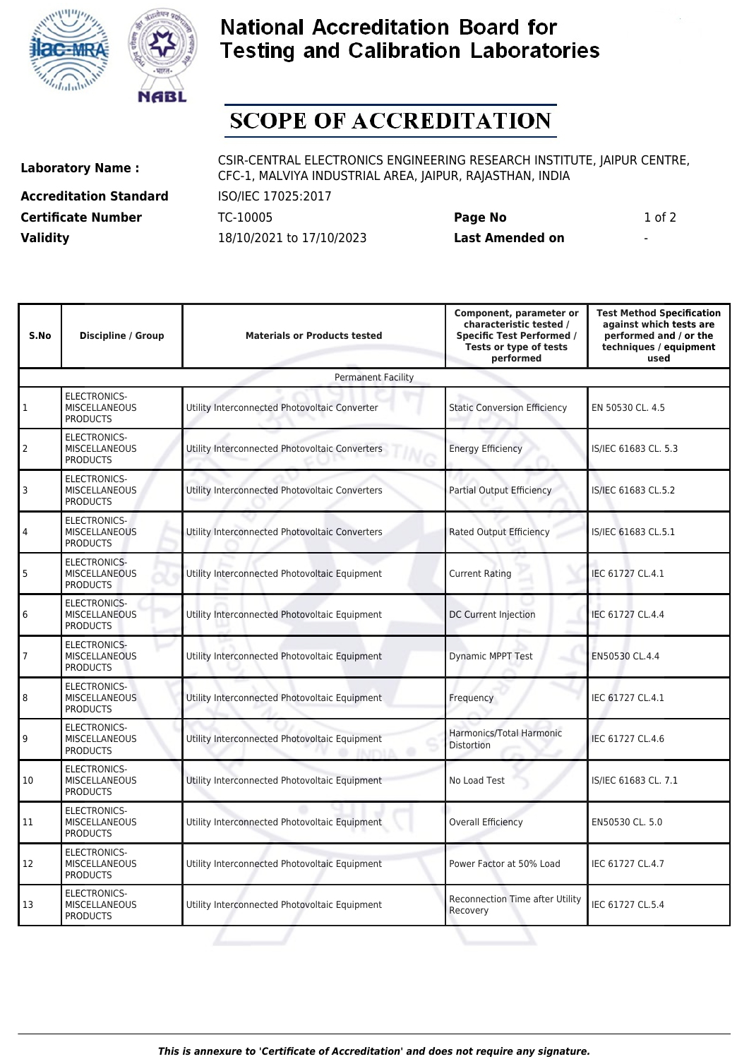



## **National Accreditation Board for Testing and Calibration Laboratories**

## **SCOPE OF ACCREDITATION**

**Accreditation Standard** ISO/IEC 17025:2017 **Certificate Number** TC-10005 **Page No** 1 of 2 **Validity** 18/10/2021 to 17/10/2023 **Last Amended on** -

**Laboratory Name :** CSIR-CENTRAL ELECTRONICS ENGINEERING RESEARCH INSTITUTE, JAIPUR CENTRE, CFC-1, MALVIYA INDUSTRIAL AREA, JAIPUR, RAJASTHAN, INDIA

| S.No                      | <b>Discipline / Group</b>                                      | <b>Materials or Products tested</b>            | Component, parameter or<br>characteristic tested /<br><b>Specific Test Performed /</b><br>Tests or type of tests<br>performed | <b>Test Method Specification</b><br>against which tests are<br>performed and / or the<br>techniques / equipment<br>used |  |  |  |
|---------------------------|----------------------------------------------------------------|------------------------------------------------|-------------------------------------------------------------------------------------------------------------------------------|-------------------------------------------------------------------------------------------------------------------------|--|--|--|
| <b>Permanent Facility</b> |                                                                |                                                |                                                                                                                               |                                                                                                                         |  |  |  |
| $\mathbf{1}$              | ELECTRONICS-<br><b>MISCELLANEOUS</b><br><b>PRODUCTS</b>        | Utility Interconnected Photovoltaic Converter  | <b>Static Conversion Efficiency</b>                                                                                           | EN 50530 CL, 4.5                                                                                                        |  |  |  |
| 2                         | <b>ELECTRONICS-</b><br><b>MISCELLANEOUS</b><br><b>PRODUCTS</b> | Utility Interconnected Photovoltaic Converters | <b>Energy Efficiency</b>                                                                                                      | IS/IEC 61683 CL. 5.3                                                                                                    |  |  |  |
| 3                         | <b>ELECTRONICS-</b><br><b>MISCELLANEOUS</b><br><b>PRODUCTS</b> | Utility Interconnected Photovoltaic Converters | Partial Output Efficiency                                                                                                     | IS/IEC 61683 CL.5.2                                                                                                     |  |  |  |
| 4                         | ELECTRONICS-<br><b>MISCELLANEOUS</b><br><b>PRODUCTS</b>        | Utility Interconnected Photovoltaic Converters | Rated Output Efficiency                                                                                                       | IS/IEC 61683 CL.5.1                                                                                                     |  |  |  |
| 5                         | ELECTRONICS-<br>MISCELLANEOUS<br><b>PRODUCTS</b>               | Utility Interconnected Photovoltaic Equipment  | <b>Current Rating</b>                                                                                                         | IEC 61727 CL.4.1                                                                                                        |  |  |  |
| 6                         | <b>ELECTRONICS-</b><br><b>MISCELLANEOUS</b><br><b>PRODUCTS</b> | Utility Interconnected Photovoltaic Equipment  | DC Current Injection                                                                                                          | IEC 61727 CL.4.4                                                                                                        |  |  |  |
| $\overline{7}$            | ELECTRONICS-<br><b>MISCELLANEOUS</b><br><b>PRODUCTS</b>        | Utility Interconnected Photovoltaic Equipment  | <b>Dynamic MPPT Test</b>                                                                                                      | EN50530 CL.4.4                                                                                                          |  |  |  |
| 8                         | <b>ELECTRONICS-</b><br><b>MISCELLANEOUS</b><br><b>PRODUCTS</b> | Utility Interconnected Photovoltaic Equipment  | Frequency                                                                                                                     | IEC 61727 CL.4.1                                                                                                        |  |  |  |
| 9                         | <b>ELECTRONICS-</b><br><b>MISCELLANEOUS</b><br><b>PRODUCTS</b> | Utility Interconnected Photovoltaic Equipment  | Harmonics/Total Harmonic<br><b>Distortion</b>                                                                                 | IEC 61727 CL.4.6                                                                                                        |  |  |  |
| 10                        | ELECTRONICS-<br><b>MISCELLANEOUS</b><br><b>PRODUCTS</b>        | Utility Interconnected Photovoltaic Equipment  | No Load Test                                                                                                                  | IS/IEC 61683 CL, 7.1                                                                                                    |  |  |  |
| 11                        | ELECTRONICS-<br><b>MISCELLANEOUS</b><br><b>PRODUCTS</b>        | Utility Interconnected Photovoltaic Equipment  | <b>Overall Efficiency</b>                                                                                                     | EN50530 CL, 5.0                                                                                                         |  |  |  |
| 12                        | ELECTRONICS-<br><b>MISCELLANEOUS</b><br><b>PRODUCTS</b>        | Utility Interconnected Photovoltaic Equipment  | Power Factor at 50% Load                                                                                                      | IEC 61727 CL.4.7                                                                                                        |  |  |  |
| 13                        | ELECTRONICS-<br><b>MISCELLANEOUS</b><br><b>PRODUCTS</b>        | Utility Interconnected Photovoltaic Equipment  | <b>Reconnection Time after Utility</b><br>Recovery                                                                            | IEC 61727 CL.5.4                                                                                                        |  |  |  |